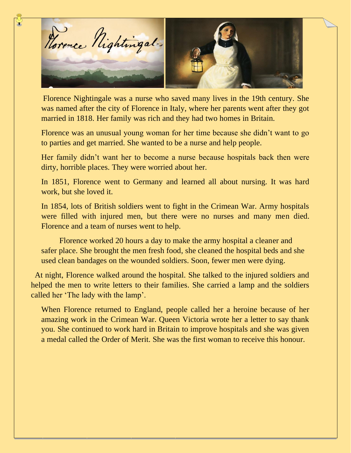

Florence Nightingale was a nurse who saved many lives in the 19th century. She was named after the city of Florence in Italy, where her parents went after they got married in 1818. Her family was rich and they had two homes in Britain.

Florence was an unusual young woman for her time because she didn't want to go to parties and get married. She wanted to be a nurse and help people.

Her family didn't want her to become a nurse because hospitals back then were dirty, horrible places. They were worried about her.

In 1851, Florence went to Germany and learned all about nursing. It was hard work, but she loved it.

In 1854, lots of British soldiers went to fight in the Crimean War. Army hospitals were filled with injured men, but there were no nurses and many men died. Florence and a team of nurses went to help.

 Florence worked 20 hours a day to make the army hospital a cleaner and safer place. She brought the men fresh food, she cleaned the hospital beds and she used clean bandages on the wounded soldiers. Soon, fewer men were dying.

 At night, Florence walked around the hospital. She talked to the injured soldiers and helped the men to write letters to their families. She carried a lamp and the soldiers called her 'The lady with the lamp'.

When Florence returned to England, people called her a heroine because of her amazing work in the Crimean War. Queen Victoria wrote her a letter to say thank you. She continued to work hard in Britain to improve hospitals and she was given a medal called the Order of Merit. She was the first woman to receive this honour.